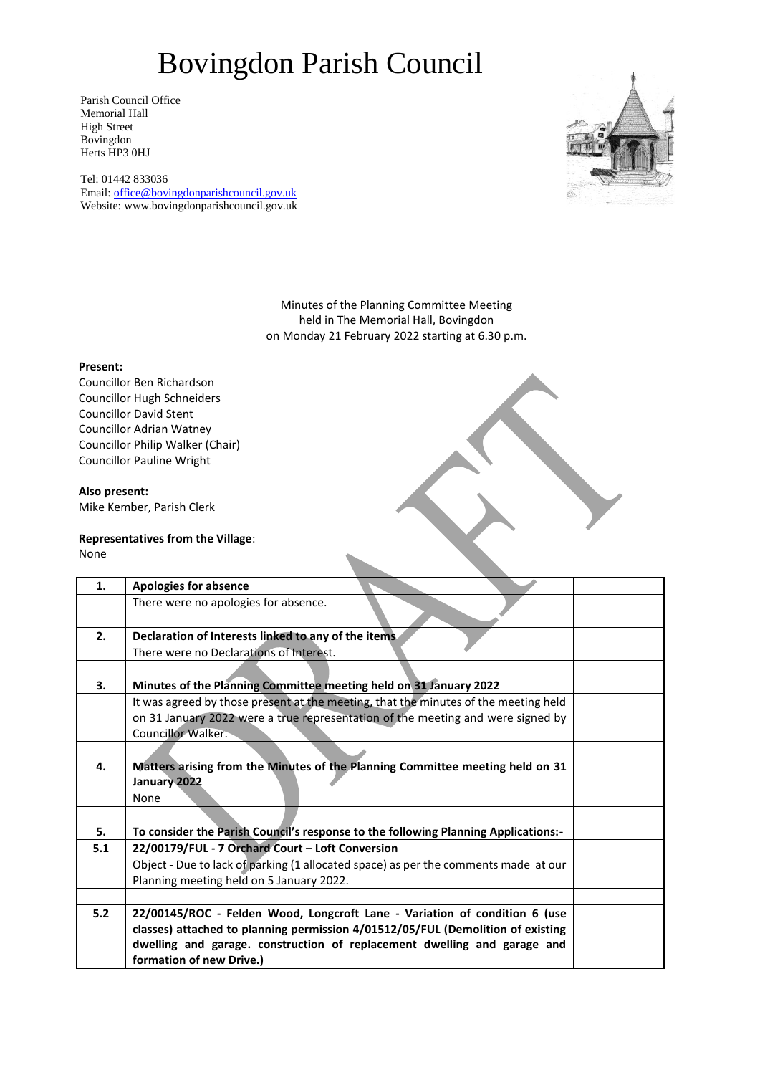Parish Council Office Memorial Hall High Street Bovingdon Herts HP3 0HJ

Tel: 01442 833036 Email: [office@bovingdonparishcouncil.gov.uk](mailto:office@bovingdonparishcouncil.gov.uk) Website: www.bovingdonparishcouncil.gov.uk



Minutes of the Planning Committee Meeting held in The Memorial Hall, Bovingdon on Monday 21 February 2022 starting at 6.30 p.m.

### **Present:**

Councillor Ben Richardson Councillor Hugh Schneiders Councillor David Stent Councillor Adrian Watney Councillor Philip Walker (Chair) Councillor Pauline Wright

### **Also present:**

Mike Kember, Parish Clerk

### **Representatives from the Village**:

None

| 1.  | <b>Apologies for absence</b>                                                        |  |
|-----|-------------------------------------------------------------------------------------|--|
|     | There were no apologies for absence.                                                |  |
|     |                                                                                     |  |
| 2.  | Declaration of Interests linked to any of the items.                                |  |
|     | There were no Declarations of Interest.                                             |  |
|     |                                                                                     |  |
| 3.  | Minutes of the Planning Committee meeting held on 31 January 2022                   |  |
|     | It was agreed by those present at the meeting, that the minutes of the meeting held |  |
|     | on 31 January 2022 were a true representation of the meeting and were signed by     |  |
|     | Councillor Walker.                                                                  |  |
|     |                                                                                     |  |
| 4.  | Matters arising from the Minutes of the Planning Committee meeting held on 31       |  |
|     | January 2022                                                                        |  |
|     | None                                                                                |  |
|     |                                                                                     |  |
| 5.  | To consider the Parish Council's response to the following Planning Applications:-  |  |
| 5.1 | 22/00179/FUL - 7 Orchard Court - Loft Conversion                                    |  |
|     | Object - Due to lack of parking (1 allocated space) as per the comments made at our |  |
|     | Planning meeting held on 5 January 2022.                                            |  |
|     |                                                                                     |  |
| 5.2 | 22/00145/ROC - Felden Wood, Longcroft Lane - Variation of condition 6 (use          |  |
|     | classes) attached to planning permission 4/01512/05/FUL (Demolition of existing     |  |
|     | dwelling and garage. construction of replacement dwelling and garage and            |  |
|     | formation of new Drive.)                                                            |  |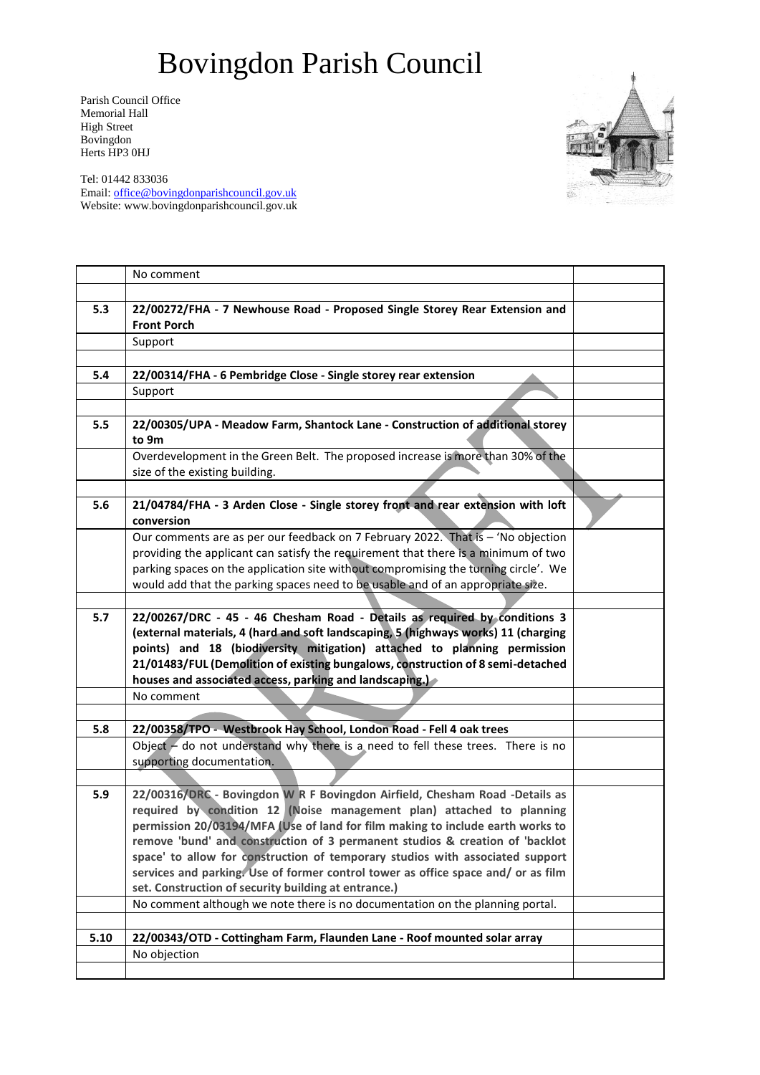Parish Council Office Memorial Hall High Street Bovingdon Herts HP3 0HJ

Tel: 01442 833036 Email: [office@bovingdonparishcouncil.gov.uk](mailto:office@bovingdonparishcouncil.gov.uk) Website: www.bovingdonparishcouncil.gov.uk

|      | No comment                                                                                                                                           |  |
|------|------------------------------------------------------------------------------------------------------------------------------------------------------|--|
|      |                                                                                                                                                      |  |
| 5.3  | 22/00272/FHA - 7 Newhouse Road - Proposed Single Storey Rear Extension and                                                                           |  |
|      | <b>Front Porch</b>                                                                                                                                   |  |
|      | Support                                                                                                                                              |  |
|      |                                                                                                                                                      |  |
| 5.4  | 22/00314/FHA - 6 Pembridge Close - Single storey rear extension                                                                                      |  |
|      | Support                                                                                                                                              |  |
|      |                                                                                                                                                      |  |
| 5.5  | 22/00305/UPA - Meadow Farm, Shantock Lane - Construction of additional storey<br>to 9m                                                               |  |
|      | Overdevelopment in the Green Belt. The proposed increase is more than 30% of the                                                                     |  |
|      | size of the existing building.                                                                                                                       |  |
|      |                                                                                                                                                      |  |
| 5.6  | 21/04784/FHA - 3 Arden Close - Single storey front and rear extension with loft                                                                      |  |
|      | conversion                                                                                                                                           |  |
|      | Our comments are as per our feedback on 7 February 2022. That is - 'No objection                                                                     |  |
|      | providing the applicant can satisfy the requirement that there is a minimum of two                                                                   |  |
|      | parking spaces on the application site without compromising the turning circle'. We                                                                  |  |
|      | would add that the parking spaces need to be usable and of an appropriate size.                                                                      |  |
|      |                                                                                                                                                      |  |
| 5.7  | 22/00267/DRC - 45 - 46 Chesham Road - Details as required by conditions 3                                                                            |  |
|      | (external materials, 4 (hard and soft landscaping, 5 (highways works) 11 (charging                                                                   |  |
|      | points) and 18 (biodiversity mitigation) attached to planning permission                                                                             |  |
|      | 21/01483/FUL (Demolition of existing bungalows, construction of 8 semi-detached<br>houses and associated access, parking and landscaping.)           |  |
|      | No comment                                                                                                                                           |  |
|      |                                                                                                                                                      |  |
|      |                                                                                                                                                      |  |
| 5.8  | 22/00358/TPO - Westbrook Hay School, London Road - Fell 4 oak trees                                                                                  |  |
|      | Object $\sim$ do not understand why there is a need to fell these trees. There is no<br>supporting documentation.                                    |  |
|      |                                                                                                                                                      |  |
| 5.9  |                                                                                                                                                      |  |
|      | 22/00316/DRC - Bovingdon W R F Bovingdon Airfield, Chesham Road -Details as<br>required by condition 12 (Noise management plan) attached to planning |  |
|      | permission 20/03194/MFA (Use of land for film making to include earth works to                                                                       |  |
|      | remove 'bund' and construction of 3 permanent studios & creation of 'backlot                                                                         |  |
|      | space' to allow for construction of temporary studios with associated support                                                                        |  |
|      | services and parking. Use of former control tower as office space and/ or as film                                                                    |  |
|      | set. Construction of security building at entrance.)                                                                                                 |  |
|      | No comment although we note there is no documentation on the planning portal.                                                                        |  |
|      |                                                                                                                                                      |  |
| 5.10 | 22/00343/OTD - Cottingham Farm, Flaunden Lane - Roof mounted solar array                                                                             |  |
|      | No objection                                                                                                                                         |  |
|      |                                                                                                                                                      |  |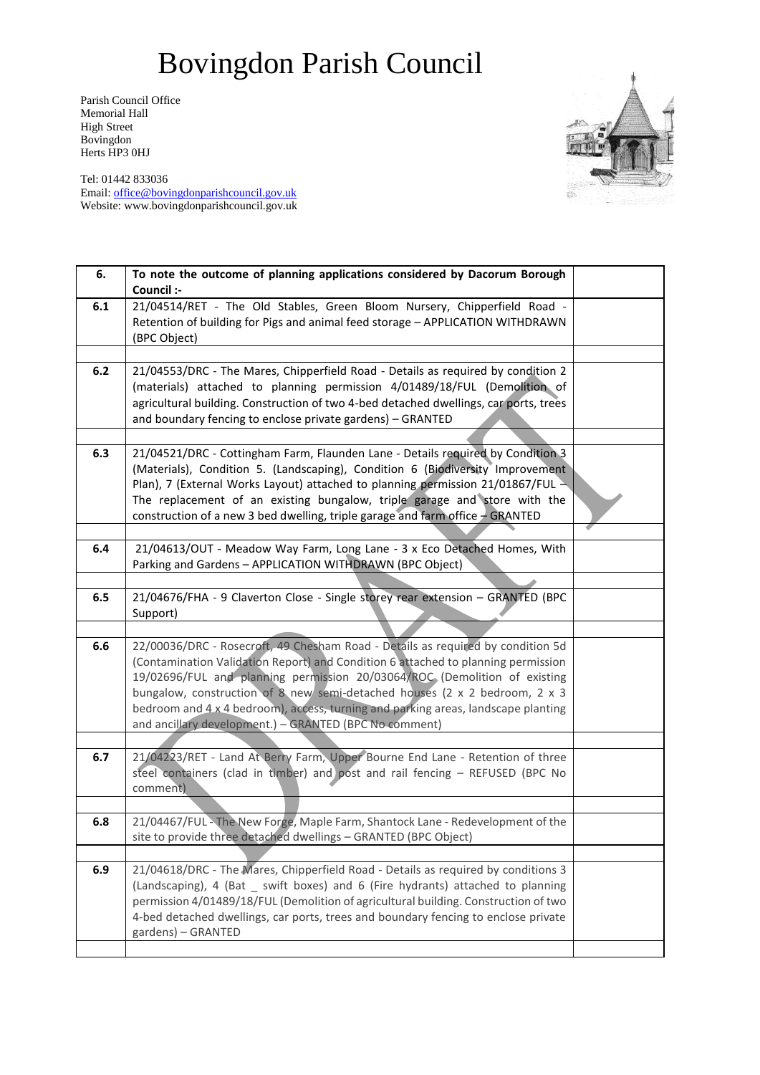Parish Council Office Memorial Hall High Street Bovingdon Herts HP3 0HJ

Tel: 01442 833036 Email: [office@bovingdonparishcouncil.gov.uk](mailto:office@bovingdonparishcouncil.gov.uk) Website: www.bovingdonparishcouncil.gov.uk

| 6.  | To note the outcome of planning applications considered by Dacorum Borough<br>Council :-                                                                       |  |
|-----|----------------------------------------------------------------------------------------------------------------------------------------------------------------|--|
| 6.1 | 21/04514/RET - The Old Stables, Green Bloom Nursery, Chipperfield Road -                                                                                       |  |
|     | Retention of building for Pigs and animal feed storage - APPLICATION WITHDRAWN                                                                                 |  |
|     | (BPC Object)                                                                                                                                                   |  |
|     |                                                                                                                                                                |  |
| 6.2 | 21/04553/DRC - The Mares, Chipperfield Road - Details as required by condition 2                                                                               |  |
|     | (materials) attached to planning permission 4/01489/18/FUL (Demolition of                                                                                      |  |
|     | agricultural building. Construction of two 4-bed detached dwellings, car ports, trees                                                                          |  |
|     | and boundary fencing to enclose private gardens) - GRANTED                                                                                                     |  |
|     |                                                                                                                                                                |  |
| 6.3 | 21/04521/DRC - Cottingham Farm, Flaunden Lane - Details required by Condition 3                                                                                |  |
|     | (Materials), Condition 5. (Landscaping), Condition 6 (Biodiversity Improvement                                                                                 |  |
|     | Plan), 7 (External Works Layout) attached to planning permission 21/01867/FUL -<br>The replacement of an existing bungalow, triple garage and store with the   |  |
|     | construction of a new 3 bed dwelling, triple garage and farm office $-$ GRANTED                                                                                |  |
|     |                                                                                                                                                                |  |
| 6.4 | 21/04613/OUT - Meadow Way Farm, Long Lane - 3 x Eco Detached Homes, With                                                                                       |  |
|     | Parking and Gardens - APPLICATION WITHDRAWN (BPC Object)                                                                                                       |  |
|     |                                                                                                                                                                |  |
| 6.5 | 21/04676/FHA - 9 Claverton Close - Single storey rear extension - GRANTED (BPC                                                                                 |  |
|     | Support)                                                                                                                                                       |  |
|     |                                                                                                                                                                |  |
| 6.6 | 22/00036/DRC - Rosecroft, 49 Chesham Road - Details as required by condition 5d                                                                                |  |
|     | (Contamination Validation Report) and Condition 6 attached to planning permission<br>19/02696/FUL and planning permission 20/03064/ROC (Demolition of existing |  |
|     | bungalow, construction of 8 new semi-detached houses (2 x 2 bedroom, 2 x 3                                                                                     |  |
|     | bedroom and 4 x 4 bedroom), access, turning and parking areas, landscape planting                                                                              |  |
|     | and ancillary development.) - GRANTED (BPC No comment)                                                                                                         |  |
|     |                                                                                                                                                                |  |
| 6.7 | 21/04223/RET - Land At Berry Farm, Upper Bourne End Lane - Retention of three                                                                                  |  |
|     | steel containers (clad in timber) and post and rail fencing - REFUSED (BPC No                                                                                  |  |
|     | comment)                                                                                                                                                       |  |
|     |                                                                                                                                                                |  |
| 6.8 | 21/04467/FUL - The New Forge, Maple Farm, Shantock Lane - Redevelopment of the                                                                                 |  |
|     | site to provide three detached dwellings - GRANTED (BPC Object)                                                                                                |  |
| 6.9 | 21/04618/DRC - The Mares, Chipperfield Road - Details as required by conditions 3                                                                              |  |
|     | (Landscaping), 4 (Bat _ swift boxes) and 6 (Fire hydrants) attached to planning                                                                                |  |
|     | permission 4/01489/18/FUL (Demolition of agricultural building. Construction of two                                                                            |  |
|     | 4-bed detached dwellings, car ports, trees and boundary fencing to enclose private                                                                             |  |
|     | gardens) - GRANTED                                                                                                                                             |  |
|     |                                                                                                                                                                |  |